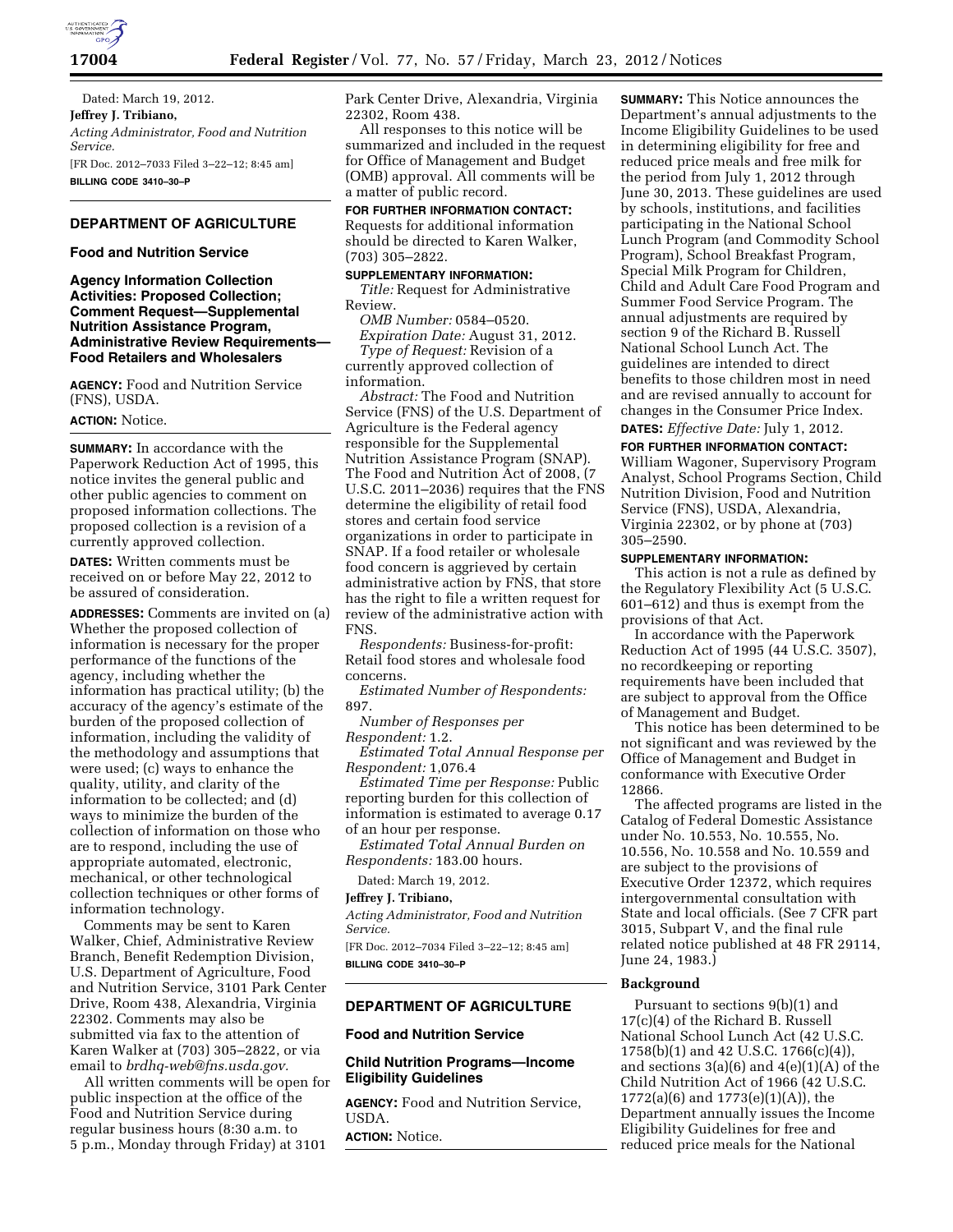

Dated: March 19, 2012. **Jeffrey J. Tribiano,**  *Acting Administrator, Food and Nutrition Service.*  [FR Doc. 2012–7033 Filed 3–22–12; 8:45 am] **BILLING CODE 3410–30–P** 

# **DEPARTMENT OF AGRICULTURE**

#### **Food and Nutrition Service**

**Agency Information Collection Activities: Proposed Collection; Comment Request—Supplemental Nutrition Assistance Program, Administrative Review Requirements— Food Retailers and Wholesalers** 

**AGENCY:** Food and Nutrition Service (FNS), USDA.

# **ACTION:** Notice.

**SUMMARY:** In accordance with the Paperwork Reduction Act of 1995, this notice invites the general public and other public agencies to comment on proposed information collections. The proposed collection is a revision of a currently approved collection.

**DATES:** Written comments must be received on or before May 22, 2012 to be assured of consideration.

**ADDRESSES:** Comments are invited on (a) Whether the proposed collection of information is necessary for the proper performance of the functions of the agency, including whether the information has practical utility; (b) the accuracy of the agency's estimate of the burden of the proposed collection of information, including the validity of the methodology and assumptions that were used; (c) ways to enhance the quality, utility, and clarity of the information to be collected; and (d) ways to minimize the burden of the collection of information on those who are to respond, including the use of appropriate automated, electronic, mechanical, or other technological collection techniques or other forms of information technology.

Comments may be sent to Karen Walker, Chief, Administrative Review Branch, Benefit Redemption Division, U.S. Department of Agriculture, Food and Nutrition Service, 3101 Park Center Drive, Room 438, Alexandria, Virginia 22302. Comments may also be submitted via fax to the attention of Karen Walker at (703) 305–2822, or via email to *[brdhq-web@fns.usda.gov.](mailto:brdhq-web@fns.usda.gov)* 

All written comments will be open for public inspection at the office of the Food and Nutrition Service during regular business hours (8:30 a.m. to 5 p.m., Monday through Friday) at 3101

Park Center Drive, Alexandria, Virginia 22302, Room 438.

All responses to this notice will be summarized and included in the request for Office of Management and Budget (OMB) approval. All comments will be a matter of public record.

**FOR FURTHER INFORMATION CONTACT:**  Requests for additional information should be directed to Karen Walker, (703) 305–2822.

### **SUPPLEMENTARY INFORMATION:**

*Title:* Request for Administrative Review.

*OMB Number:* 0584–0520.

*Expiration Date:* August 31, 2012. *Type of Request:* Revision of a currently approved collection of information.

*Abstract:* The Food and Nutrition Service (FNS) of the U.S. Department of Agriculture is the Federal agency responsible for the Supplemental Nutrition Assistance Program (SNAP). The Food and Nutrition Act of 2008, (7 U.S.C. 2011–2036) requires that the FNS determine the eligibility of retail food stores and certain food service organizations in order to participate in SNAP. If a food retailer or wholesale food concern is aggrieved by certain administrative action by FNS, that store has the right to file a written request for review of the administrative action with FNS.

*Respondents:* Business-for-profit: Retail food stores and wholesale food concerns.

*Estimated Number of Respondents:*  897.

*Number of Responses per Respondent:* 1.2.

*Estimated Total Annual Response per Respondent:* 1,076.4

*Estimated Time per Response:* Public reporting burden for this collection of information is estimated to average 0.17 of an hour per response.

*Estimated Total Annual Burden on Respondents:* 183.00 hours.

Dated: March 19, 2012.

#### **Jeffrey J. Tribiano,**

*Acting Administrator, Food and Nutrition Service.* 

[FR Doc. 2012–7034 Filed 3–22–12; 8:45 am] **BILLING CODE 3410–30–P** 

### **DEPARTMENT OF AGRICULTURE**

# **Food and Nutrition Service**

### **Child Nutrition Programs—Income Eligibility Guidelines**

**AGENCY:** Food and Nutrition Service, USDA.

**ACTION:** Notice.

**SUMMARY:** This Notice announces the Department's annual adjustments to the Income Eligibility Guidelines to be used in determining eligibility for free and reduced price meals and free milk for the period from July 1, 2012 through June 30, 2013. These guidelines are used by schools, institutions, and facilities participating in the National School Lunch Program (and Commodity School Program), School Breakfast Program, Special Milk Program for Children, Child and Adult Care Food Program and Summer Food Service Program. The annual adjustments are required by section 9 of the Richard B. Russell National School Lunch Act. The guidelines are intended to direct benefits to those children most in need and are revised annually to account for changes in the Consumer Price Index. **DATES:** *Effective Date:* July 1, 2012.

# **FOR FURTHER INFORMATION CONTACT:**

William Wagoner, Supervisory Program Analyst, School Programs Section, Child Nutrition Division, Food and Nutrition Service (FNS), USDA, Alexandria, Virginia 22302, or by phone at (703) 305–2590.

# **SUPPLEMENTARY INFORMATION:**

This action is not a rule as defined by the Regulatory Flexibility Act (5 U.S.C. 601–612) and thus is exempt from the provisions of that Act.

In accordance with the Paperwork Reduction Act of 1995 (44 U.S.C. 3507), no recordkeeping or reporting requirements have been included that are subject to approval from the Office of Management and Budget.

This notice has been determined to be not significant and was reviewed by the Office of Management and Budget in conformance with Executive Order 12866.

The affected programs are listed in the Catalog of Federal Domestic Assistance under No. 10.553, No. 10.555, No. 10.556, No. 10.558 and No. 10.559 and are subject to the provisions of Executive Order 12372, which requires intergovernmental consultation with State and local officials. (See 7 CFR part 3015, Subpart V, and the final rule related notice published at 48 FR 29114, June 24, 1983.)

#### **Background**

Pursuant to sections 9(b)(1) and 17(c)(4) of the Richard B. Russell National School Lunch Act (42 U.S.C. 1758(b)(1) and 42 U.S.C. 1766(c)(4)), and sections  $3(a)(6)$  and  $4(e)(1)(A)$  of the Child Nutrition Act of 1966 (42 U.S.C. 1772(a)(6) and 1773(e)(1)(A)), the Department annually issues the Income Eligibility Guidelines for free and reduced price meals for the National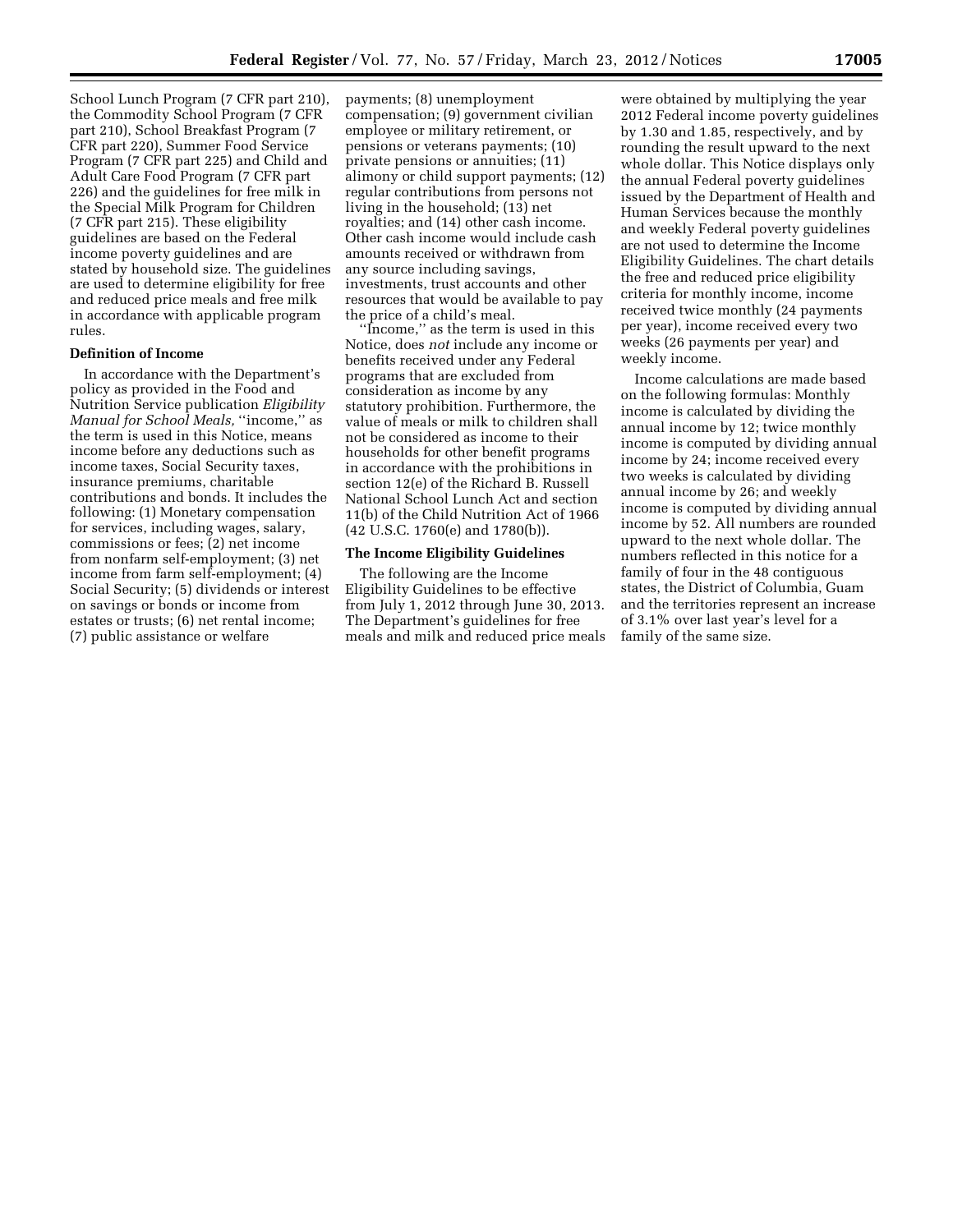School Lunch Program (7 CFR part 210), the Commodity School Program (7 CFR part 210), School Breakfast Program (7 CFR part 220), Summer Food Service Program (7 CFR part 225) and Child and Adult Care Food Program (7 CFR part 226) and the guidelines for free milk in the Special Milk Program for Children (7 CFR part 215). These eligibility guidelines are based on the Federal income poverty guidelines and are stated by household size. The guidelines are used to determine eligibility for free and reduced price meals and free milk in accordance with applicable program rules.

### **Definition of Income**

In accordance with the Department's policy as provided in the Food and Nutrition Service publication *Eligibility Manual for School Meals,* ''income,'' as the term is used in this Notice, means income before any deductions such as income taxes, Social Security taxes, insurance premiums, charitable contributions and bonds. It includes the following: (1) Monetary compensation for services, including wages, salary, commissions or fees; (2) net income from nonfarm self-employment; (3) net income from farm self-employment; (4) Social Security; (5) dividends or interest on savings or bonds or income from estates or trusts; (6) net rental income; (7) public assistance or welfare

payments; (8) unemployment compensation; (9) government civilian employee or military retirement, or pensions or veterans payments; (10) private pensions or annuities; (11) alimony or child support payments; (12) regular contributions from persons not living in the household; (13) net royalties; and (14) other cash income. Other cash income would include cash amounts received or withdrawn from any source including savings, investments, trust accounts and other resources that would be available to pay the price of a child's meal.

'Income," as the term is used in this Notice, does *not* include any income or benefits received under any Federal programs that are excluded from consideration as income by any statutory prohibition. Furthermore, the value of meals or milk to children shall not be considered as income to their households for other benefit programs in accordance with the prohibitions in section 12(e) of the Richard B. Russell National School Lunch Act and section 11(b) of the Child Nutrition Act of 1966 (42 U.S.C. 1760(e) and 1780(b)).

### **The Income Eligibility Guidelines**

The following are the Income Eligibility Guidelines to be effective from July 1, 2012 through June 30, 2013. The Department's guidelines for free meals and milk and reduced price meals

were obtained by multiplying the year 2012 Federal income poverty guidelines by 1.30 and 1.85, respectively, and by rounding the result upward to the next whole dollar. This Notice displays only the annual Federal poverty guidelines issued by the Department of Health and Human Services because the monthly and weekly Federal poverty guidelines are not used to determine the Income Eligibility Guidelines. The chart details the free and reduced price eligibility criteria for monthly income, income received twice monthly (24 payments per year), income received every two weeks (26 payments per year) and weekly income.

Income calculations are made based on the following formulas: Monthly income is calculated by dividing the annual income by 12; twice monthly income is computed by dividing annual income by 24; income received every two weeks is calculated by dividing annual income by 26; and weekly income is computed by dividing annual income by 52. All numbers are rounded upward to the next whole dollar. The numbers reflected in this notice for a family of four in the 48 contiguous states, the District of Columbia, Guam and the territories represent an increase of 3.1% over last year's level for a family of the same size.